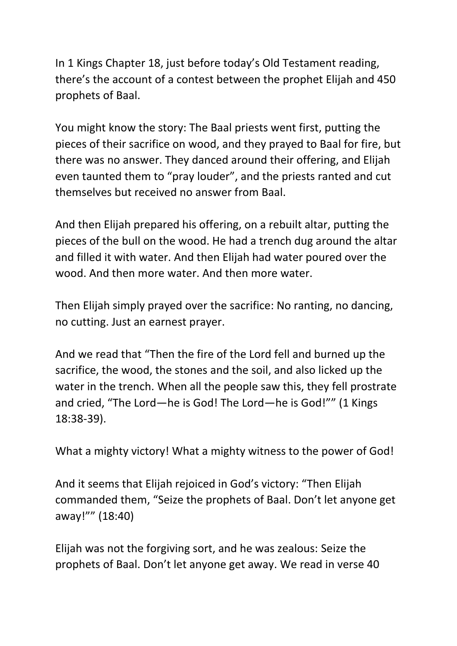In 1 Kings Chapter 18, just before today's Old Testament reading, there's the account of a contest between the prophet Elijah and 450 prophets of Baal.

You might know the story: The Baal priests went first, putting the pieces of their sacrifice on wood, and they prayed to Baal for fire, but there was no answer. They danced around their offering, and Elijah even taunted them to "pray louder", and the priests ranted and cut themselves but received no answer from Baal.

And then Elijah prepared his offering, on a rebuilt altar, putting the pieces of the bull on the wood. He had a trench dug around the altar and filled it with water. And then Elijah had water poured over the wood. And then more water. And then more water.

Then Elijah simply prayed over the sacrifice: No ranting, no dancing, no cutting. Just an earnest prayer.

And we read that "Then the fire of the Lord fell and burned up the sacrifice, the wood, the stones and the soil, and also licked up the water in the trench. When all the people saw this, they fell prostrate and cried, "The Lord—he is God! The Lord—he is God!"" (1 Kings 18:38-39).

What a mighty victory! What a mighty witness to the power of God!

And it seems that Elijah rejoiced in God's victory: "Then Elijah commanded them, "Seize the prophets of Baal. Don't let anyone get away!"" (18:40)

Elijah was not the forgiving sort, and he was zealous: Seize the prophets of Baal. Don't let anyone get away. We read in verse 40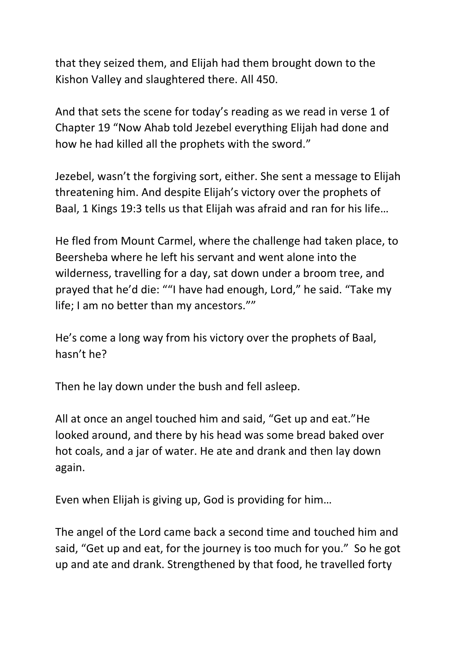that they seized them, and Elijah had them brought down to the Kishon Valley and slaughtered there. All 450.

And that sets the scene for today's reading as we read in verse 1 of Chapter 19 "Now Ahab told Jezebel everything Elijah had done and how he had killed all the prophets with the sword."

Jezebel, wasn't the forgiving sort, either. She sent a message to Elijah threatening him. And despite Elijah's victory over the prophets of Baal, 1 Kings 19:3 tells us that Elijah was afraid and ran for his life…

He fled from Mount Carmel, where the challenge had taken place, to Beersheba where he left his servant and went alone into the wilderness, travelling for a day, sat down under a broom tree, and prayed that he'd die: ""I have had enough, Lord," he said. "Take my life; I am no better than my ancestors.""

He's come a long way from his victory over the prophets of Baal, hasn't he?

Then he lay down under the bush and fell asleep.

All at once an angel touched him and said, "Get up and eat."He looked around, and there by his head was some bread baked over hot coals, and a jar of water. He ate and drank and then lay down again.

Even when Elijah is giving up, God is providing for him…

The angel of the Lord came back a second time and touched him and said, "Get up and eat, for the journey is too much for you." So he got up and ate and drank. Strengthened by that food, he travelled forty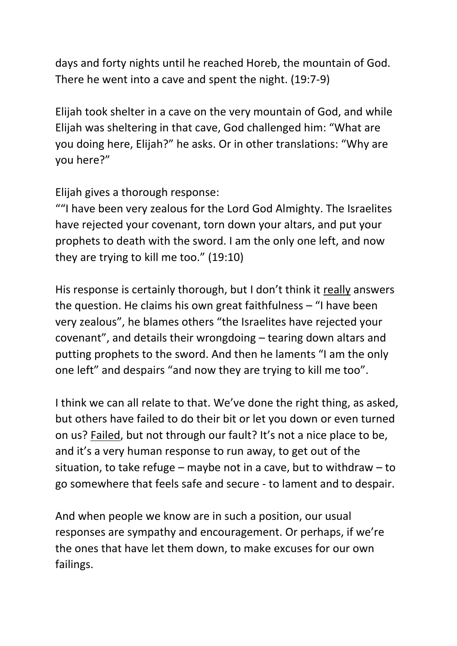days and forty nights until he reached Horeb, the mountain of God. There he went into a cave and spent the night. (19:7-9)

Elijah took shelter in a cave on the very mountain of God, and while Elijah was sheltering in that cave, God challenged him: "What are you doing here, Elijah?" he asks. Or in other translations: "Why are you here?"

Elijah gives a thorough response:

""I have been very zealous for the Lord God Almighty. The Israelites have rejected your covenant, torn down your altars, and put your prophets to death with the sword. I am the only one left, and now they are trying to kill me too." (19:10)

His response is certainly thorough, but I don't think it really answers the question. He claims his own great faithfulness – "I have been very zealous", he blames others "the Israelites have rejected your covenant", and details their wrongdoing – tearing down altars and putting prophets to the sword. And then he laments "I am the only one left" and despairs "and now they are trying to kill me too".

I think we can all relate to that. We've done the right thing, as asked, but others have failed to do their bit or let you down or even turned on us? Failed, but not through our fault? It's not a nice place to be, and it's a very human response to run away, to get out of the situation, to take refuge – maybe not in a cave, but to withdraw – to go somewhere that feels safe and secure - to lament and to despair.

And when people we know are in such a position, our usual responses are sympathy and encouragement. Or perhaps, if we're the ones that have let them down, to make excuses for our own failings.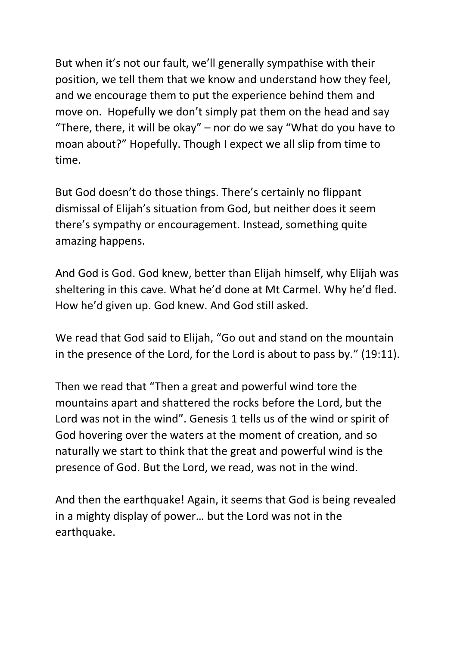But when it's not our fault, we'll generally sympathise with their position, we tell them that we know and understand how they feel, and we encourage them to put the experience behind them and move on. Hopefully we don't simply pat them on the head and say "There, there, it will be okay"  $-$  nor do we say "What do you have to moan about?" Hopefully. Though I expect we all slip from time to time.

But God doesn't do those things. There's certainly no flippant dismissal of Elijah's situation from God, but neither does it seem there's sympathy or encouragement. Instead, something quite amazing happens.

And God is God. God knew, better than Elijah himself, why Elijah was sheltering in this cave. What he'd done at Mt Carmel. Why he'd fled. How he'd given up. God knew. And God still asked.

We read that God said to Elijah, "Go out and stand on the mountain in the presence of the Lord, for the Lord is about to pass by." (19:11).

Then we read that "Then a great and powerful wind tore the mountains apart and shattered the rocks before the Lord, but the Lord was not in the wind". Genesis 1 tells us of the wind or spirit of God hovering over the waters at the moment of creation, and so naturally we start to think that the great and powerful wind is the presence of God. But the Lord, we read, was not in the wind.

And then the earthquake! Again, it seems that God is being revealed in a mighty display of power… but the Lord was not in the earthquake.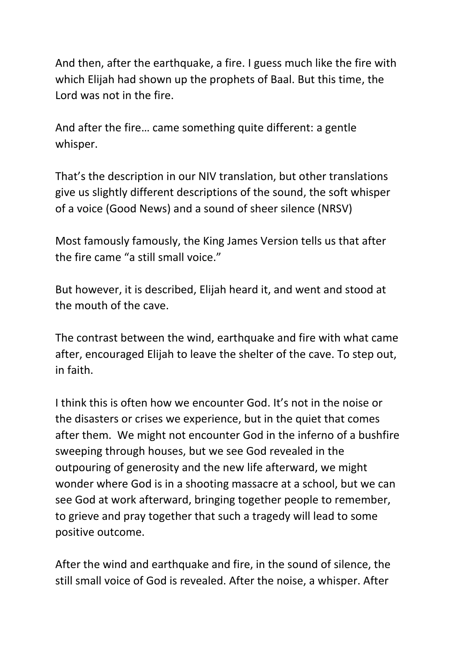And then, after the earthquake, a fire. I guess much like the fire with which Elijah had shown up the prophets of Baal. But this time, the Lord was not in the fire.

And after the fire… came something quite different: a gentle whisper.

That's the description in our NIV translation, but other translations give us slightly different descriptions of the sound, the soft whisper of a voice (Good News) and a sound of sheer silence (NRSV)

Most famously famously, the King James Version tells us that after the fire came "a still small voice."

But however, it is described, Elijah heard it, and went and stood at the mouth of the cave.

The contrast between the wind, earthquake and fire with what came after, encouraged Elijah to leave the shelter of the cave. To step out, in faith.

I think this is often how we encounter God. It's not in the noise or the disasters or crises we experience, but in the quiet that comes after them. We might not encounter God in the inferno of a bushfire sweeping through houses, but we see God revealed in the outpouring of generosity and the new life afterward, we might wonder where God is in a shooting massacre at a school, but we can see God at work afterward, bringing together people to remember, to grieve and pray together that such a tragedy will lead to some positive outcome.

After the wind and earthquake and fire, in the sound of silence, the still small voice of God is revealed. After the noise, a whisper. After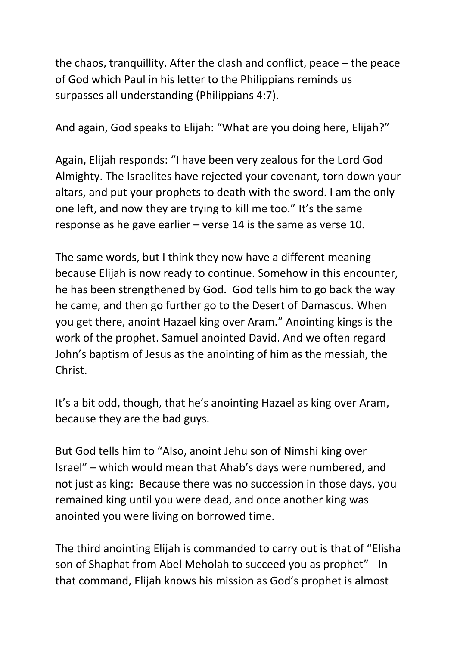the chaos, tranquillity. After the clash and conflict, peace – the peace of God which Paul in his letter to the Philippians reminds us surpasses all understanding (Philippians 4:7).

And again, God speaks to Elijah: "What are you doing here, Elijah?"

Again, Elijah responds: "I have been very zealous for the Lord God Almighty. The Israelites have rejected your covenant, torn down your altars, and put your prophets to death with the sword. I am the only one left, and now they are trying to kill me too." It's the same response as he gave earlier – verse 14 is the same as verse 10.

The same words, but I think they now have a different meaning because Elijah is now ready to continue. Somehow in this encounter, he has been strengthened by God. God tells him to go back the way he came, and then go further go to the Desert of Damascus. When you get there, anoint Hazael king over Aram." Anointing kings is the work of the prophet. Samuel anointed David. And we often regard John's baptism of Jesus as the anointing of him as the messiah, the Christ.

It's a bit odd, though, that he's anointing Hazael as king over Aram, because they are the bad guys.

But God tells him to "Also, anoint Jehu son of Nimshi king over Israel" – which would mean that Ahab's days were numbered, and not just as king: Because there was no succession in those days, you remained king until you were dead, and once another king was anointed you were living on borrowed time.

The third anointing Elijah is commanded to carry out is that of "Elisha son of Shaphat from Abel Meholah to succeed you as prophet" - In that command, Elijah knows his mission as God's prophet is almost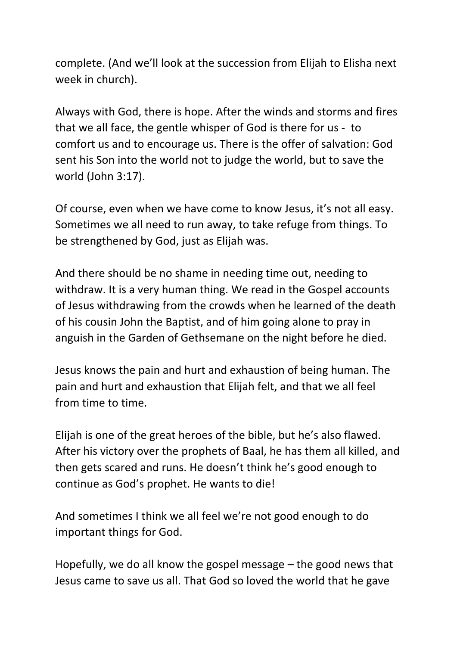complete. (And we'll look at the succession from Elijah to Elisha next week in church).

Always with God, there is hope. After the winds and storms and fires that we all face, the gentle whisper of God is there for us - to comfort us and to encourage us. There is the offer of salvation: God sent his Son into the world not to judge the world, but to save the world (John 3:17).

Of course, even when we have come to know Jesus, it's not all easy. Sometimes we all need to run away, to take refuge from things. To be strengthened by God, just as Elijah was.

And there should be no shame in needing time out, needing to withdraw. It is a very human thing. We read in the Gospel accounts of Jesus withdrawing from the crowds when he learned of the death of his cousin John the Baptist, and of him going alone to pray in anguish in the Garden of Gethsemane on the night before he died.

Jesus knows the pain and hurt and exhaustion of being human. The pain and hurt and exhaustion that Elijah felt, and that we all feel from time to time.

Elijah is one of the great heroes of the bible, but he's also flawed. After his victory over the prophets of Baal, he has them all killed, and then gets scared and runs. He doesn't think he's good enough to continue as God's prophet. He wants to die!

And sometimes I think we all feel we're not good enough to do important things for God.

Hopefully, we do all know the gospel message – the good news that Jesus came to save us all. That God so loved the world that he gave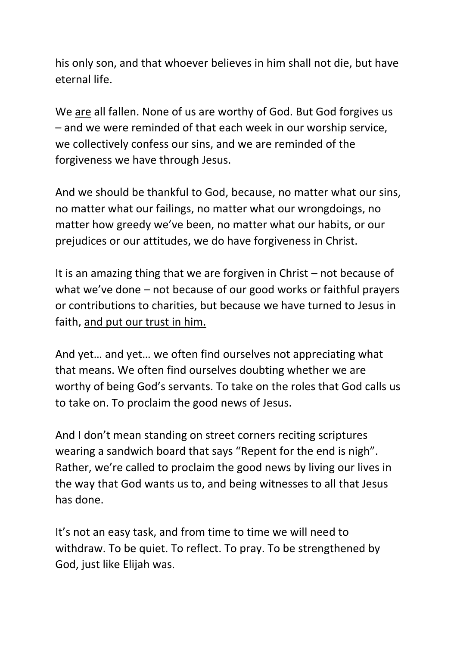his only son, and that whoever believes in him shall not die, but have eternal life.

We are all fallen. None of us are worthy of God. But God forgives us – and we were reminded of that each week in our worship service, we collectively confess our sins, and we are reminded of the forgiveness we have through Jesus.

And we should be thankful to God, because, no matter what our sins, no matter what our failings, no matter what our wrongdoings, no matter how greedy we've been, no matter what our habits, or our prejudices or our attitudes, we do have forgiveness in Christ.

It is an amazing thing that we are forgiven in Christ – not because of what we've done – not because of our good works or faithful prayers or contributions to charities, but because we have turned to Jesus in faith, and put our trust in him.

And yet… and yet… we often find ourselves not appreciating what that means. We often find ourselves doubting whether we are worthy of being God's servants. To take on the roles that God calls us to take on. To proclaim the good news of Jesus.

And I don't mean standing on street corners reciting scriptures wearing a sandwich board that says "Repent for the end is nigh". Rather, we're called to proclaim the good news by living our lives in the way that God wants us to, and being witnesses to all that Jesus has done.

It's not an easy task, and from time to time we will need to withdraw. To be quiet. To reflect. To pray. To be strengthened by God, just like Elijah was.